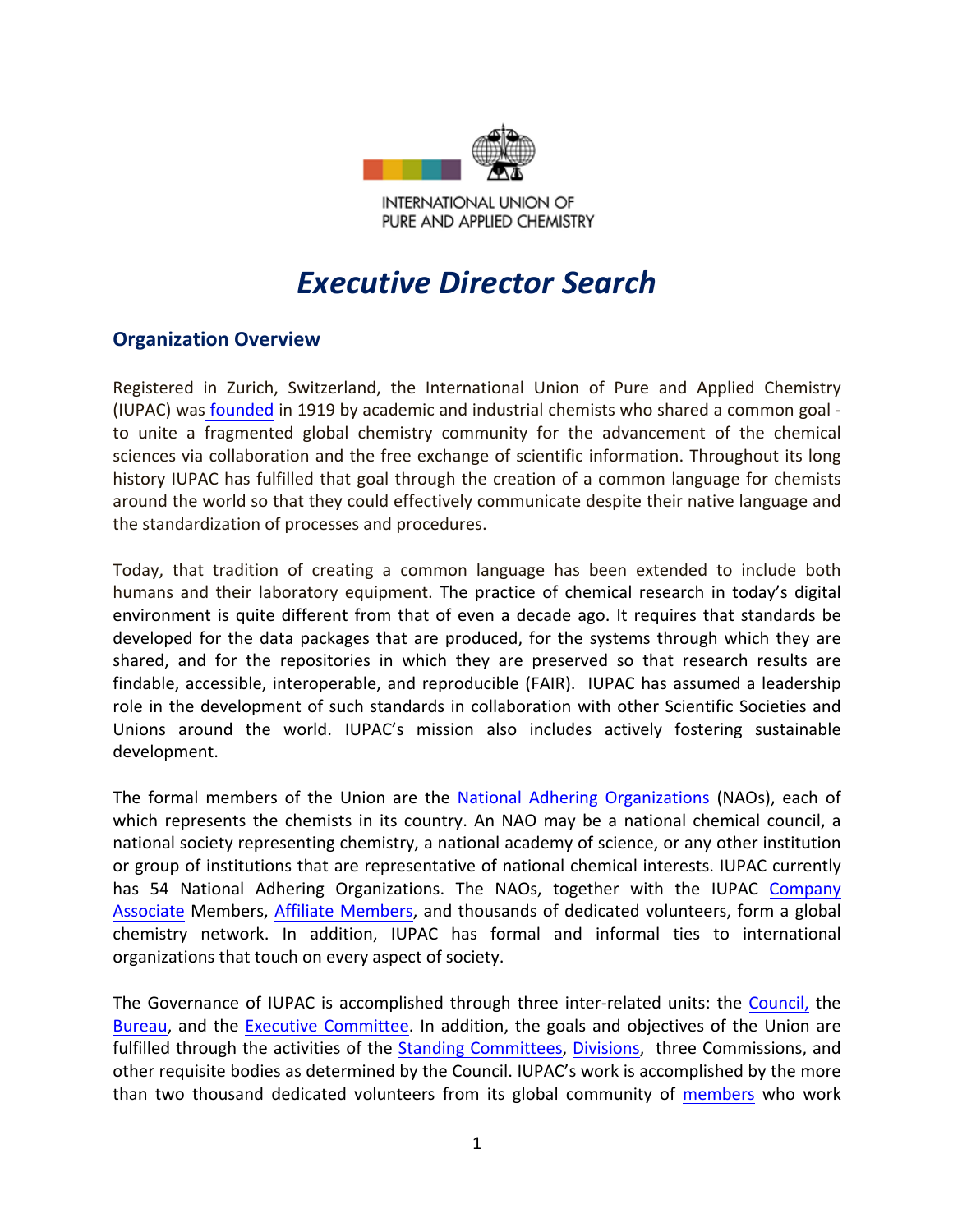

**INTERNATIONAL UNION OF** PURE AND APPLIED CHEMISTRY

# *Executive Director Search*

## **Organization Overview**

Registered in Zurich, Switzerland, the International Union of Pure and Applied Chemistry (IUPAC) was founded in 1919 by academic and industrial chemists who shared a common goal to unite a fragmented global chemistry community for the advancement of the chemical sciences via collaboration and the free exchange of scientific information. Throughout its long history IUPAC has fulfilled that goal through the creation of a common language for chemists around the world so that they could effectively communicate despite their native language and the standardization of processes and procedures.

Today, that tradition of creating a common language has been extended to include both humans and their laboratory equipment. The practice of chemical research in today's digital environment is quite different from that of even a decade ago. It requires that standards be developed for the data packages that are produced, for the systems through which they are shared, and for the repositories in which they are preserved so that research results are findable, accessible, interoperable, and reproducible (FAIR). IUPAC has assumed a leadership role in the development of such standards in collaboration with other Scientific Societies and Unions around the world. IUPAC's mission also includes actively fostering sustainable development.

The formal members of the Union are the National Adhering Organizations (NAOs), each of which represents the chemists in its country. An NAO may be a national chemical council, a national society representing chemistry, a national academy of science, or any other institution or group of institutions that are representative of national chemical interests. IUPAC currently has 54 National Adhering Organizations. The NAOs, together with the IUPAC Company Associate Members, Affiliate Members, and thousands of dedicated volunteers, form a global chemistry network. In addition, IUPAC has formal and informal ties to international organizations that touch on every aspect of society.

The Governance of IUPAC is accomplished through three inter-related units: the Council, the Bureau, and the Executive Committee. In addition, the goals and objectives of the Union are fulfilled through the activities of the Standing Committees, Divisions, three Commissions, and other requisite bodies as determined by the Council. IUPAC's work is accomplished by the more than two thousand dedicated volunteers from its global community of members who work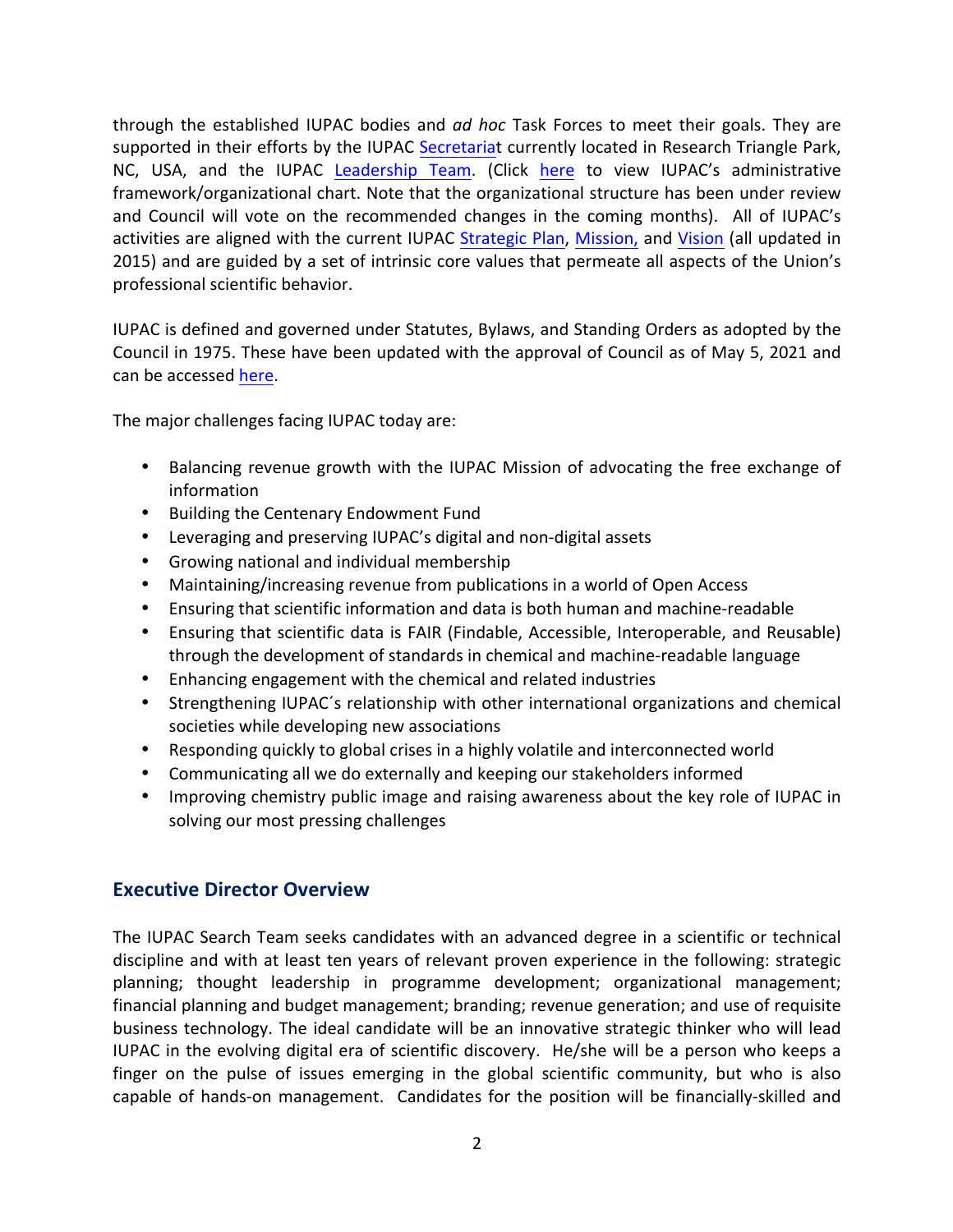through the established IUPAC bodies and *ad hoc* Task Forces to meet their goals. They are supported in their efforts by the IUPAC Secretariat currently located in Research Triangle Park, NC, USA, and the IUPAC Leadership Team. (Click here to view IUPAC's administrative framework/organizational chart. Note that the organizational structure has been under review and Council will vote on the recommended changes in the coming months). All of IUPAC's activities are aligned with the current IUPAC Strategic Plan, Mission, and Vision (all updated in 2015) and are guided by a set of intrinsic core values that permeate all aspects of the Union's professional scientific behavior.

IUPAC is defined and governed under Statutes, Bylaws, and Standing Orders as adopted by the Council in 1975. These have been updated with the approval of Council as of May 5, 2021 and can be accessed here.

The major challenges facing IUPAC today are:

- Balancing revenue growth with the IUPAC Mission of advocating the free exchange of information
- Building the Centenary Endowment Fund
- Leveraging and preserving IUPAC's digital and non-digital assets
- Growing national and individual membership
- Maintaining/increasing revenue from publications in a world of Open Access
- Ensuring that scientific information and data is both human and machine-readable
- Ensuring that scientific data is FAIR (Findable, Accessible, Interoperable, and Reusable) through the development of standards in chemical and machine-readable language
- Enhancing engagement with the chemical and related industries
- Strengthening IUPAC's relationship with other international organizations and chemical societies while developing new associations
- Responding quickly to global crises in a highly volatile and interconnected world
- Communicating all we do externally and keeping our stakeholders informed
- Improving chemistry public image and raising awareness about the key role of IUPAC in solving our most pressing challenges

## **Executive Director Overview**

The IUPAC Search Team seeks candidates with an advanced degree in a scientific or technical discipline and with at least ten years of relevant proven experience in the following: strategic planning; thought leadership in programme development; organizational management; financial planning and budget management; branding; revenue generation; and use of requisite business technology. The ideal candidate will be an innovative strategic thinker who will lead IUPAC in the evolving digital era of scientific discovery. He/she will be a person who keeps a finger on the pulse of issues emerging in the global scientific community, but who is also capable of hands-on management. Candidates for the position will be financially-skilled and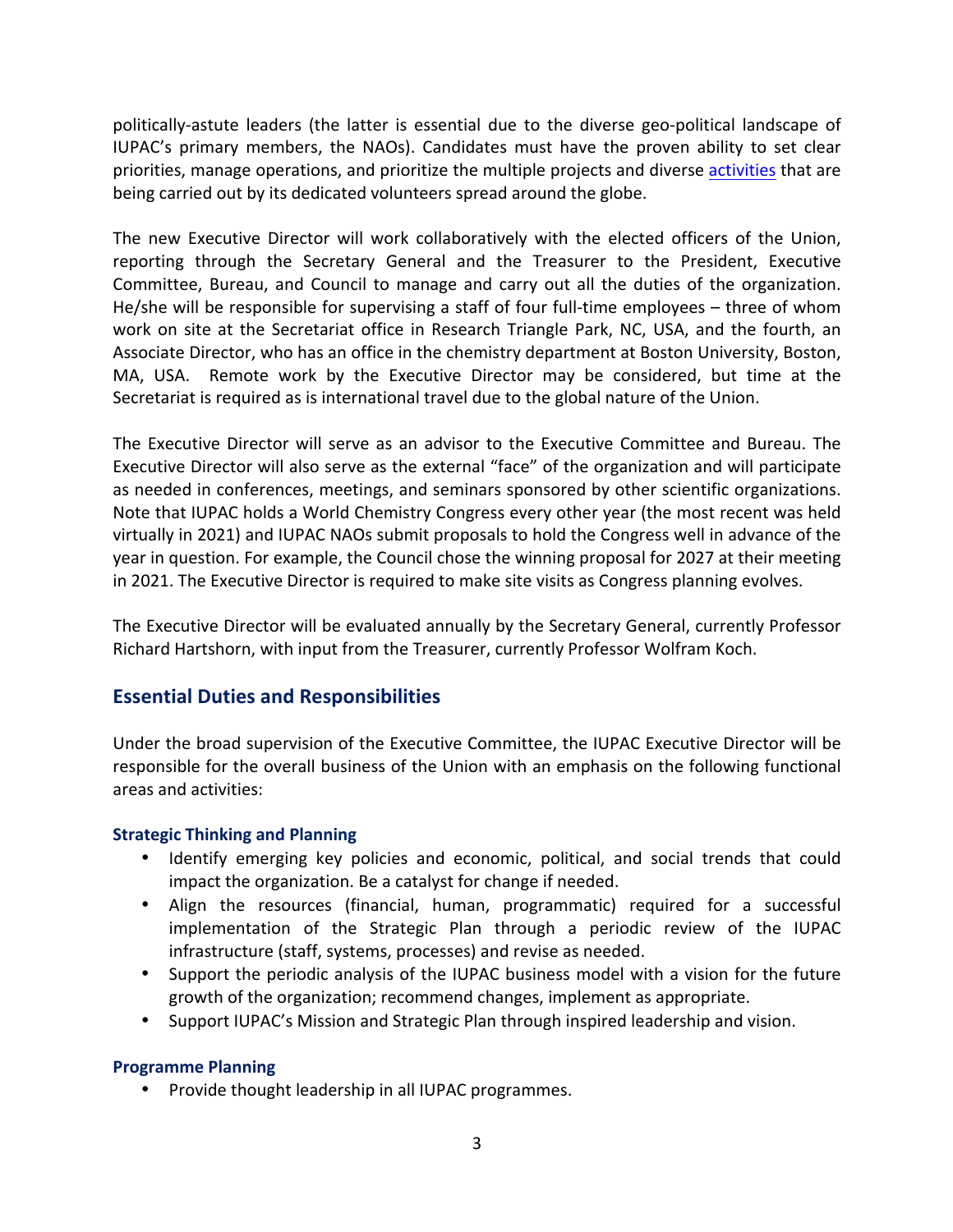politically-astute leaders (the latter is essential due to the diverse geo-political landscape of IUPAC's primary members, the NAOs). Candidates must have the proven ability to set clear priorities, manage operations, and prioritize the multiple projects and diverse activities that are being carried out by its dedicated volunteers spread around the globe.

The new Executive Director will work collaboratively with the elected officers of the Union, reporting through the Secretary General and the Treasurer to the President, Executive Committee, Bureau, and Council to manage and carry out all the duties of the organization. He/she will be responsible for supervising a staff of four full-time employees  $-$  three of whom work on site at the Secretariat office in Research Triangle Park, NC, USA, and the fourth, an Associate Director, who has an office in the chemistry department at Boston University, Boston, MA, USA. Remote work by the Executive Director may be considered, but time at the Secretariat is required as is international travel due to the global nature of the Union.

The Executive Director will serve as an advisor to the Executive Committee and Bureau. The Executive Director will also serve as the external "face" of the organization and will participate as needed in conferences, meetings, and seminars sponsored by other scientific organizations. Note that IUPAC holds a World Chemistry Congress every other year (the most recent was held virtually in 2021) and IUPAC NAOs submit proposals to hold the Congress well in advance of the year in question. For example, the Council chose the winning proposal for 2027 at their meeting in 2021. The Executive Director is required to make site visits as Congress planning evolves.

The Executive Director will be evaluated annually by the Secretary General, currently Professor Richard Hartshorn, with input from the Treasurer, currently Professor Wolfram Koch.

## **Essential Duties and Responsibilities**

Under the broad supervision of the Executive Committee, the IUPAC Executive Director will be responsible for the overall business of the Union with an emphasis on the following functional areas and activities:

#### **Strategic Thinking and Planning**

- Identify emerging key policies and economic, political, and social trends that could impact the organization. Be a catalyst for change if needed.
- Align the resources (financial, human, programmatic) required for a successful implementation of the Strategic Plan through a periodic review of the IUPAC infrastructure (staff, systems, processes) and revise as needed.
- Support the periodic analysis of the IUPAC business model with a vision for the future growth of the organization; recommend changes, implement as appropriate.
- Support IUPAC's Mission and Strategic Plan through inspired leadership and vision.

#### **Programme Planning**

• Provide thought leadership in all IUPAC programmes.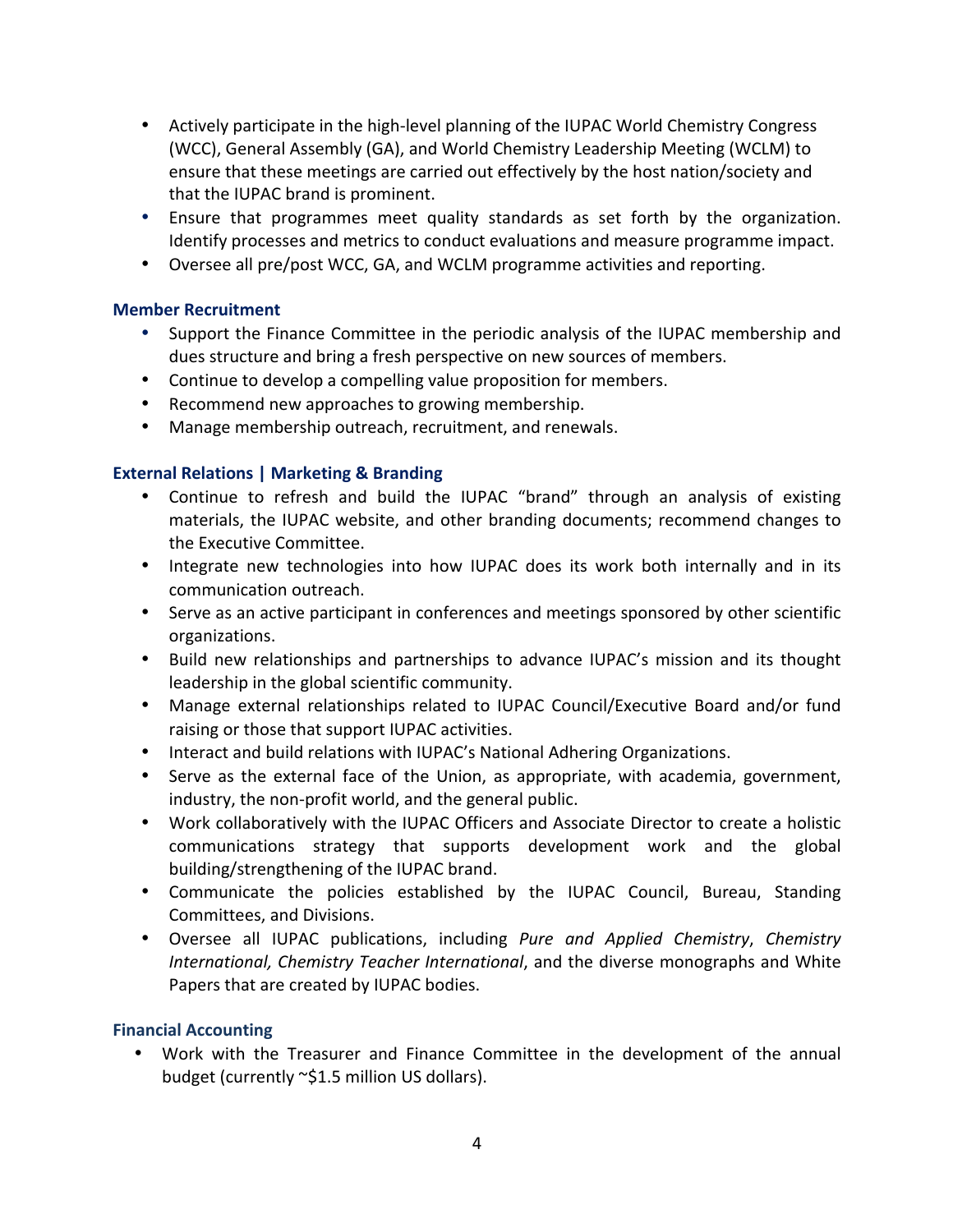- Actively participate in the high-level planning of the IUPAC World Chemistry Congress (WCC), General Assembly (GA), and World Chemistry Leadership Meeting (WCLM) to ensure that these meetings are carried out effectively by the host nation/society and that the IUPAC brand is prominent.
- Ensure that programmes meet quality standards as set forth by the organization. Identify processes and metrics to conduct evaluations and measure programme impact.
- Oversee all pre/post WCC, GA, and WCLM programme activities and reporting.

#### **Member Recruitment**

- Support the Finance Committee in the periodic analysis of the IUPAC membership and dues structure and bring a fresh perspective on new sources of members.
- Continue to develop a compelling value proposition for members.
- Recommend new approaches to growing membership.
- Manage membership outreach, recruitment, and renewals.

### **External Relations | Marketing & Branding**

- Continue to refresh and build the IUPAC "brand" through an analysis of existing materials, the IUPAC website, and other branding documents; recommend changes to the Executive Committee.
- Integrate new technologies into how IUPAC does its work both internally and in its communication outreach.
- Serve as an active participant in conferences and meetings sponsored by other scientific organizations.
- Build new relationships and partnerships to advance IUPAC's mission and its thought leadership in the global scientific community.
- Manage external relationships related to IUPAC Council/Executive Board and/or fund raising or those that support IUPAC activities.
- Interact and build relations with IUPAC's National Adhering Organizations.
- Serve as the external face of the Union, as appropriate, with academia, government, industry, the non-profit world, and the general public.
- Work collaboratively with the IUPAC Officers and Associate Director to create a holistic communications strategy that supports development work and the global building/strengthening of the IUPAC brand.
- Communicate the policies established by the IUPAC Council, Bureau, Standing Committees, and Divisions.
- Oversee all IUPAC publications, including *Pure and Applied Chemistry*, *Chemistry International, Chemistry Teacher International*, and the diverse monographs and White Papers that are created by IUPAC bodies.

#### **Financial Accounting**

Work with the Treasurer and Finance Committee in the development of the annual budget (currently ~\$1.5 million US dollars).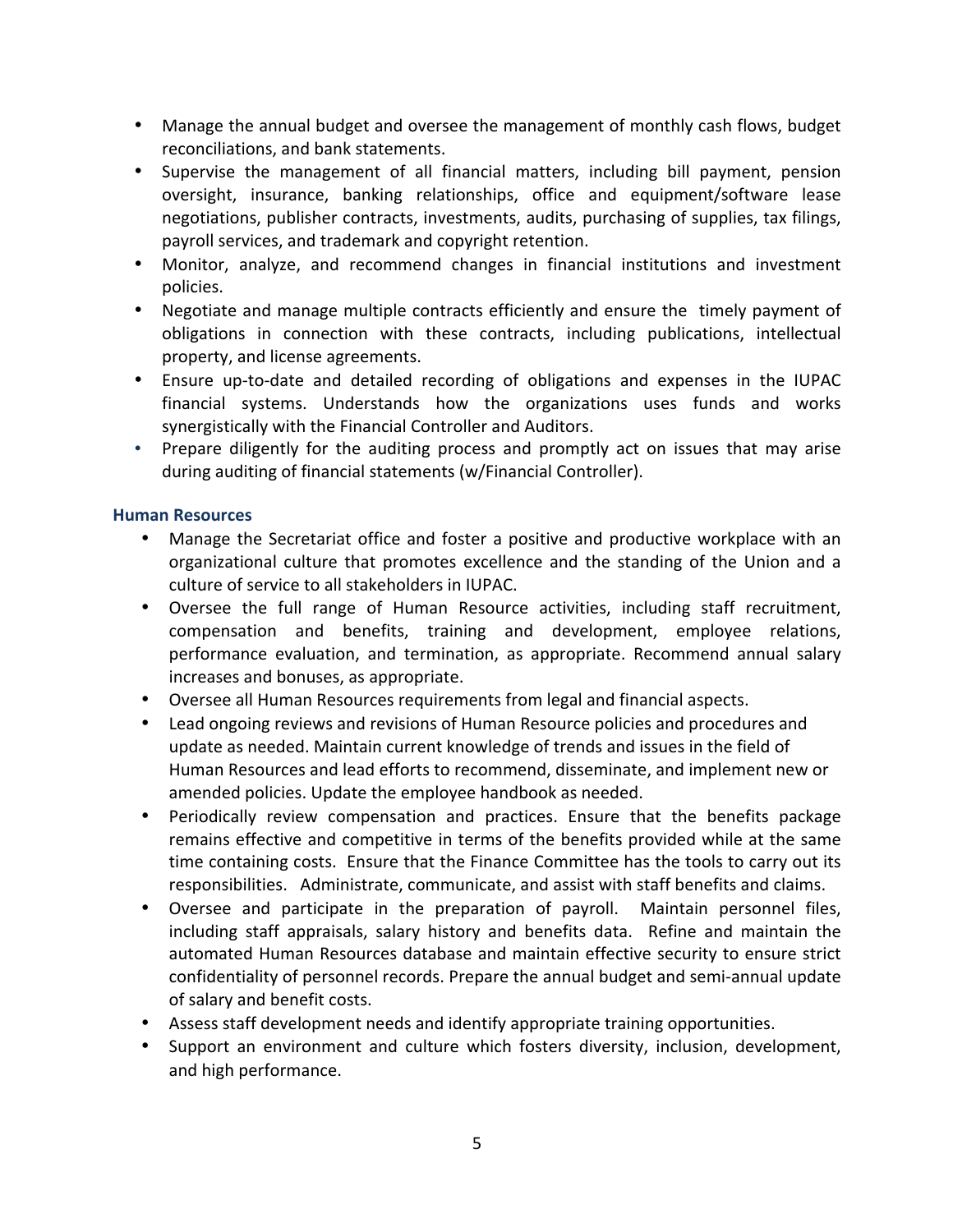- Manage the annual budget and oversee the management of monthly cash flows, budget reconciliations, and bank statements.
- Supervise the management of all financial matters, including bill payment, pension oversight, insurance, banking relationships, office and equipment/software lease negotiations, publisher contracts, investments, audits, purchasing of supplies, tax filings, payroll services, and trademark and copyright retention.
- Monitor, analyze, and recommend changes in financial institutions and investment policies.
- Negotiate and manage multiple contracts efficiently and ensure the timely payment of obligations in connection with these contracts, including publications, intellectual property, and license agreements.
- Ensure up-to-date and detailed recording of obligations and expenses in the IUPAC financial systems. Understands how the organizations uses funds and works synergistically with the Financial Controller and Auditors.
- Prepare diligently for the auditing process and promptly act on issues that may arise during auditing of financial statements (w/Financial Controller).

#### **Human Resources**

- Manage the Secretariat office and foster a positive and productive workplace with an organizational culture that promotes excellence and the standing of the Union and a culture of service to all stakeholders in IUPAC.
- Oversee the full range of Human Resource activities, including staff recruitment, compensation and benefits, training and development, employee relations, performance evaluation, and termination, as appropriate. Recommend annual salary increases and bonuses, as appropriate.
- Oversee all Human Resources requirements from legal and financial aspects.
- Lead ongoing reviews and revisions of Human Resource policies and procedures and update as needed. Maintain current knowledge of trends and issues in the field of Human Resources and lead efforts to recommend, disseminate, and implement new or amended policies. Update the employee handbook as needed.
- Periodically review compensation and practices. Ensure that the benefits package remains effective and competitive in terms of the benefits provided while at the same time containing costs. Ensure that the Finance Committee has the tools to carry out its responsibilities. Administrate, communicate, and assist with staff benefits and claims.
- Oversee and participate in the preparation of payroll. Maintain personnel files, including staff appraisals, salary history and benefits data. Refine and maintain the automated Human Resources database and maintain effective security to ensure strict confidentiality of personnel records. Prepare the annual budget and semi-annual update of salary and benefit costs.
- Assess staff development needs and identify appropriate training opportunities.
- Support an environment and culture which fosters diversity, inclusion, development, and high performance.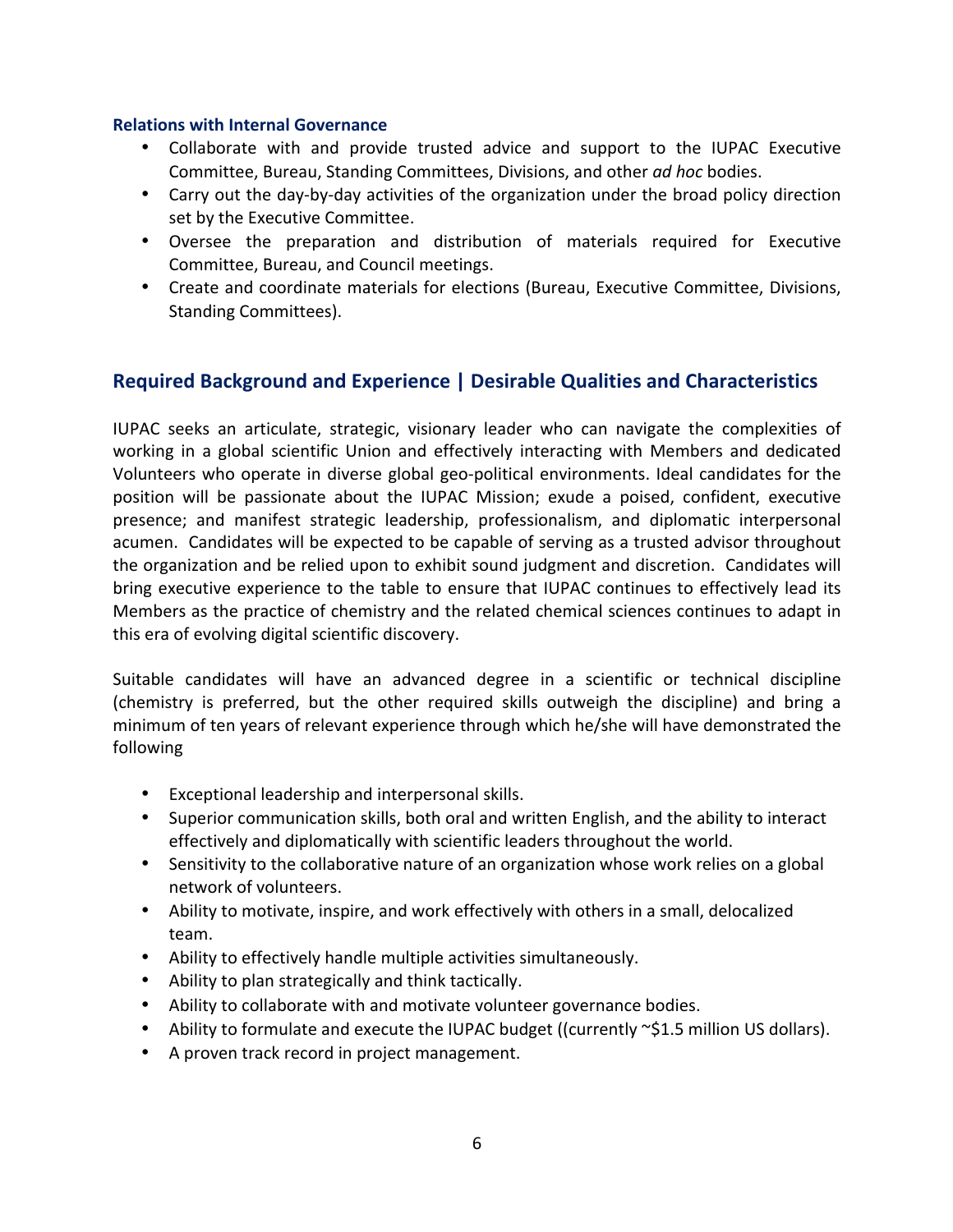#### **Relations with Internal Governance**

- Collaborate with and provide trusted advice and support to the IUPAC Executive Committee, Bureau, Standing Committees, Divisions, and other *ad hoc* bodies.
- Carry out the day-by-day activities of the organization under the broad policy direction set by the Executive Committee.
- Oversee the preparation and distribution of materials required for Executive Committee, Bureau, and Council meetings.
- Create and coordinate materials for elections (Bureau, Executive Committee, Divisions, Standing Committees).

## **Required Background and Experience | Desirable Qualities and Characteristics**

IUPAC seeks an articulate, strategic, visionary leader who can navigate the complexities of working in a global scientific Union and effectively interacting with Members and dedicated Volunteers who operate in diverse global geo-political environments. Ideal candidates for the position will be passionate about the IUPAC Mission; exude a poised, confident, executive presence; and manifest strategic leadership, professionalism, and diplomatic interpersonal acumen. Candidates will be expected to be capable of serving as a trusted advisor throughout the organization and be relied upon to exhibit sound judgment and discretion. Candidates will bring executive experience to the table to ensure that IUPAC continues to effectively lead its Members as the practice of chemistry and the related chemical sciences continues to adapt in this era of evolving digital scientific discovery.

Suitable candidates will have an advanced degree in a scientific or technical discipline (chemistry is preferred, but the other required skills outweigh the discipline) and bring a minimum of ten years of relevant experience through which he/she will have demonstrated the following

- Exceptional leadership and interpersonal skills.
- Superior communication skills, both oral and written English, and the ability to interact effectively and diplomatically with scientific leaders throughout the world.
- Sensitivity to the collaborative nature of an organization whose work relies on a global network of volunteers.
- Ability to motivate, inspire, and work effectively with others in a small, delocalized team.
- Ability to effectively handle multiple activities simultaneously.
- Ability to plan strategically and think tactically.
- Ability to collaborate with and motivate volunteer governance bodies.
- Ability to formulate and execute the IUPAC budget ((currently  $\sim$ \$1.5 million US dollars).
- A proven track record in project management.